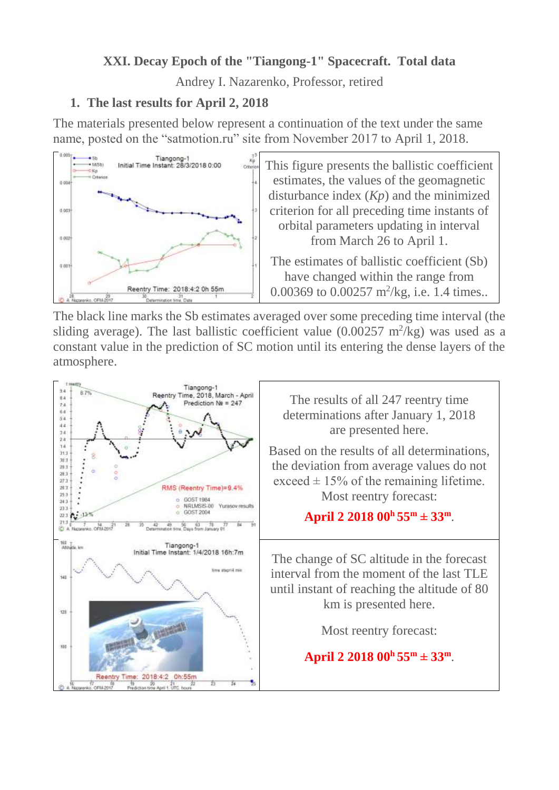# **XXI. Decay Epoch of the "Tiangong-1" Spacecraft. Total data**

Andrey I. Nazarenko, Professor, retired

#### **1. The last results for April 2, 2018**

The materials presented below represent a continuation of the text under the same name, posted on the "satmotion.ru" site from November 2017 to April 1, 2018.



 $\frac{1}{\sqrt{2}}$  This figure presents the ballistic coefficient estimates, the values of the geomagnetic disturbance index (*Kp*) and the minimized criterion for all preceding time instants of orbital parameters updating in interval from March 26 to April 1.

> The estimates of ballistic coefficient (Sb) have changed within the range from 0.00369 to 0.00257 m<sup>2</sup>/kg, i.e. 1.4 times..

The black line marks the Sb estimates averaged over some preceding time interval (the sliding average). The last ballistic coefficient value  $(0.00257 \text{ m}^2/\text{kg})$  was used as a constant value in the prediction of SC motion until its entering the dense layers of the atmosphere.

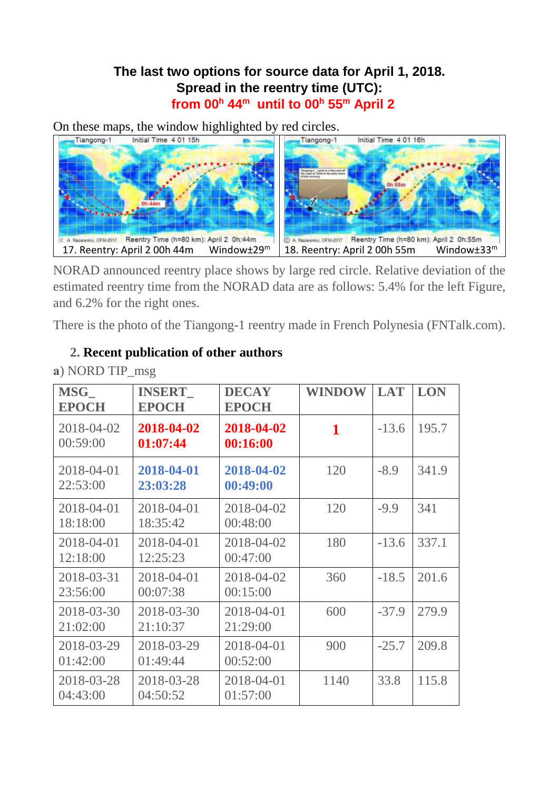# **The last two options for source data for April 1, 2018. Spread in the reentry time (UTC): from 00<sup>h</sup> 44 <sup>m</sup> until to 00<sup>h</sup> 55 <sup>m</sup> April 2**

On these maps, the window highlighted by red circles.



NORAD announced reentry place shows by large red circle. Relative deviation of the estimated reentry time from the NORAD data are as follows: 5.4% for the left Figure, and 6.2% for the right ones.

There is the photo of the Tiangong-1 reentry made in French Polynesia (FNTalk.com).

| a) NORD TIP_msg |               |              |     |  |  |  |
|-----------------|---------------|--------------|-----|--|--|--|
| <b>MSG</b>      | <b>INSERT</b> | <b>DECAY</b> | WIN |  |  |  |
| ___ _ _ _       |               |              |     |  |  |  |

## **2. Recent publication of other authors**

| <b>MSG</b><br><b>EPOCH</b> | <b>INSERT</b><br><b>EPOCH</b> | <b>DECAY</b><br><b>EPOCH</b> | <b>WINDOW</b> | <b>LAT</b> | <b>LON</b> |
|----------------------------|-------------------------------|------------------------------|---------------|------------|------------|
| 2018-04-02<br>00:59:00     | 2018-04-02<br>01:07:44        | 2018-04-02<br>00:16:00       | 1             | $-13.6$    | 195.7      |
| 2018-04-01<br>22:53:00     | 2018-04-01<br>23:03:28        | 2018-04-02<br>00:49:00       | 120           | $-8.9$     | 341.9      |
| 2018-04-01<br>18:18:00     | 2018-04-01<br>18:35:42        | 2018-04-02<br>00:48:00       | 120           | $-9.9$     | 341        |
| 2018-04-01<br>12:18:00     | 2018-04-01<br>12:25:23        | 2018-04-02<br>00:47:00       | 180           | $-13.6$    | 337.1      |
| 2018-03-31<br>23:56:00     | 2018-04-01<br>00:07:38        | 2018-04-02<br>00:15:00       | 360           | $-18.5$    | 201.6      |
| 2018-03-30<br>21:02:00     | 2018-03-30<br>21:10:37        | 2018-04-01<br>21:29:00       | 600           | $-37.9$    | 279.9      |
| 2018-03-29<br>01:42:00     | 2018-03-29<br>01:49:44        | 2018-04-01<br>00:52:00       | 900           | $-25.7$    | 209.8      |
| 2018-03-28<br>04:43:00     | 2018-03-28<br>04:50:52        | 2018-04-01<br>01:57:00       | 1140          | 33.8       | 115.8      |